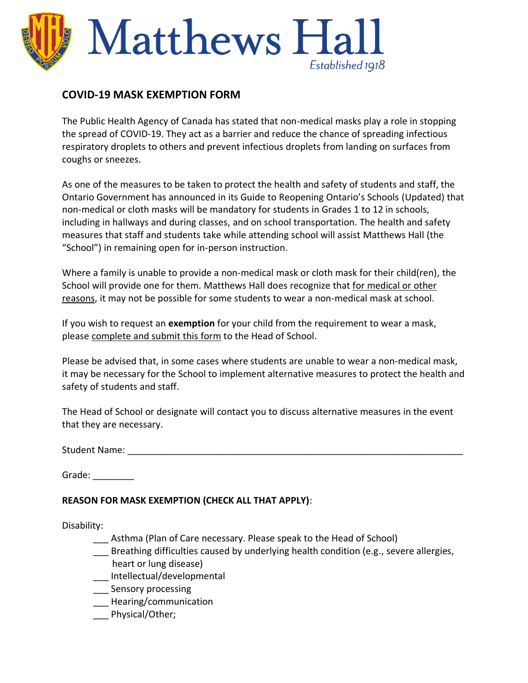

## **COVID-19 MASK EXEMPTION FORM**

The Public Health Agency of Canada has stated that non-medical masks play a role in stopping the spread of COVID-19. They act as a barrier and reduce the chance of spreading infectious respiratory droplets to others and prevent infectious droplets from landing on surfaces from coughs or sneezes.

As one of the measures to be taken to protect the health and safety of students and staff, the Ontario Government has announced in its Guide to Reopening Ontario's Schools (Updated) that non-medical or cloth masks will be mandatory for students in Grades 1 to 12 in schools, including in hallways and during classes, and on school transportation. The health and safety measures that staff and students take while attending school will assist Matthews Hall (the "School") in remaining open for in-person instruction.

Where a family is unable to provide a non-medical mask or cloth mask for their child(ren), the School will provide one for them. Matthews Hall does recognize that for medical or other reasons, it may not be possible for some students to wear a non-medical mask at school.

If you wish to request an **exemption** for your child from the requirement to wear a mask, please complete and submit this form to the Head of School.

Please be advised that, in some cases where students are unable to wear a non-medical mask, it may be necessary for the School to implement alternative measures to protect the health and safety of students and staff.

The Head of School or designate will contact you to discuss alternative measures in the event that they are necessary.

Student Name: \_\_\_\_\_\_\_\_\_\_\_\_\_\_\_\_\_\_\_\_\_\_\_\_\_\_\_\_\_\_\_\_\_\_\_\_\_\_\_\_\_\_\_\_\_\_\_\_\_\_\_\_\_\_\_\_\_\_\_\_\_\_\_\_\_

Grade: \_\_\_\_\_\_\_\_

## **REASON FOR MASK EXEMPTION (CHECK ALL THAT APPLY)**:

Disability:

- Asthma (Plan of Care necessary. Please speak to the Head of School)
- Breathing difficulties caused by underlying health condition (e.g., severe allergies, heart or lung disease)
- \_\_\_ Intellectual/developmental
- **Sensory processing**
- \_\_\_ Hearing/communication
- \_\_\_ Physical/Other;